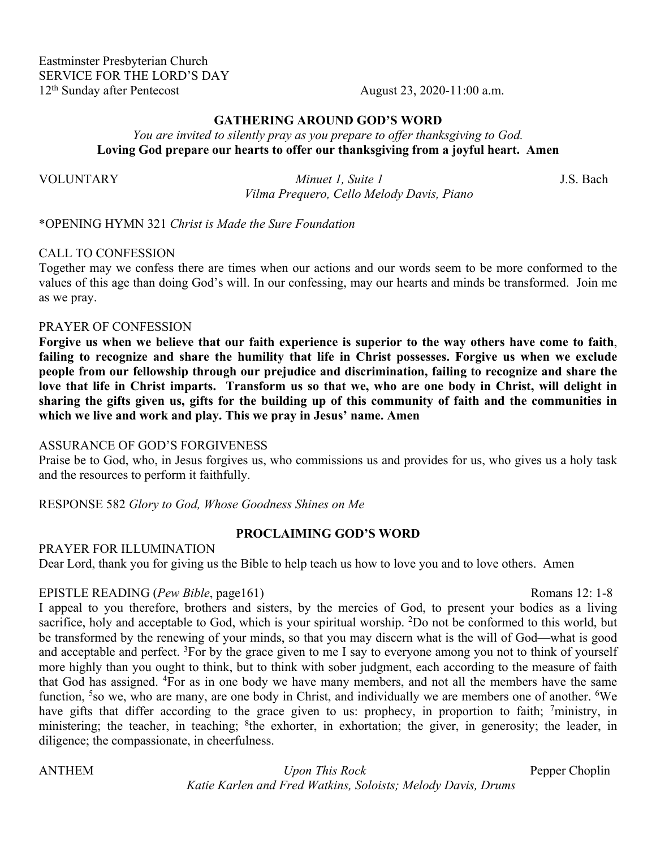Eastminster Presbyterian Church SERVICE FOR THE LORD'S DAY 12<sup>th</sup> Sunday after Pentecost August 23, 2020-11:00 a.m.

## **GATHERING AROUND GOD'S WORD**

*You are invited to silently pray as you prepare to offer thanksgiving to God.*  **Loving God prepare our hearts to offer our thanksgiving from a joyful heart. Amen**

VOLUNTARY *Minuet 1, Suite 1* J.S. Bach  *Vilma Prequero, Cello Melody Davis, Piano*

## \*OPENING HYMN 321 *Christ is Made the Sure Foundation*

#### CALL TO CONFESSION

Together may we confess there are times when our actions and our words seem to be more conformed to the values of this age than doing God's will. In our confessing, may our hearts and minds be transformed. Join me as we pray.

# PRAYER OF CONFESSION

**Forgive us when we believe that our faith experience is superior to the way others have come to faith**, **failing to recognize and share the humility that life in Christ possesses. Forgive us when we exclude people from our fellowship through our prejudice and discrimination, failing to recognize and share the love that life in Christ imparts. Transform us so that we, who are one body in Christ, will delight in sharing the gifts given us, gifts for the building up of this community of faith and the communities in which we live and work and play. This we pray in Jesus' name. Amen**

## ASSURANCE OF GOD'S FORGIVENESS

Praise be to God, who, in Jesus forgives us, who commissions us and provides for us, who gives us a holy task and the resources to perform it faithfully.

RESPONSE 582 *Glory to God, Whose Goodness Shines on Me*

## **PROCLAIMING GOD'S WORD**

# PRAYER FOR ILLUMINATION

Dear Lord, thank you for giving us the Bible to help teach us how to love you and to love others. Amen

#### EPISTLE READING (*Pew Bible*, page161) Romans 12: 1-8

I appeal to you therefore, brothers and sisters, by the mercies of God, to present your bodies as a living sacrifice, holy and acceptable to God, which is your spiritual worship. <sup>2</sup>Do not be conformed to this world, but be transformed by the renewing of your minds, so that you may discern what is the will of God—what is good and acceptable and perfect. <sup>3</sup>For by the grace given to me I say to everyone among you not to think of yourself more highly than you ought to think, but to think with sober judgment, each according to the measure of faith that God has assigned. <sup>4</sup>For as in one body we have many members, and not all the members have the same function, <sup>5</sup>so we, who are many, are one body in Christ, and individually we are members one of another. <sup>6</sup>We have gifts that differ according to the grace given to us: prophecy, in proportion to faith; <sup>7</sup>ministry, in ministering; the teacher, in teaching; <sup>8</sup>the exhorter, in exhortation; the giver, in generosity; the leader, in diligence; the compassionate, in cheerfulness.

ANTHEM *Upon This Rock* Pepper Choplin  *Katie Karlen and Fred Watkins, Soloists; Melody Davis, Drums*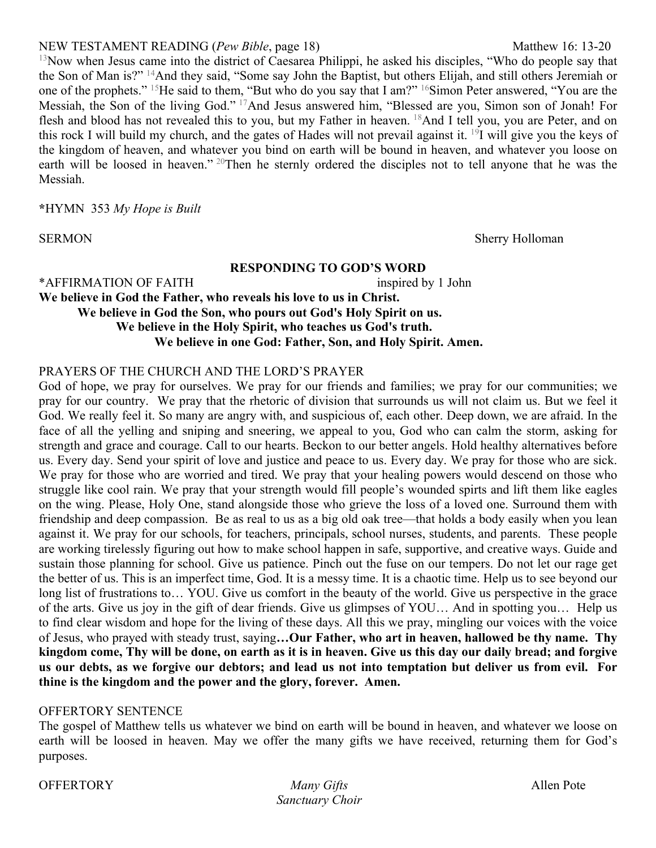## NEW TESTAMENT READING (*Pew Bible*, page 18) Matthew 16: 13-20

<sup>13</sup>Now when Jesus came into the district of Caesarea Philippi, he asked his disciples, "Who do people say that the Son of Man is?"<sup>14</sup>And they said, "Some say John the Baptist, but others Elijah, and still others Jeremiah or one of the prophets." <sup>15</sup>He said to them, "But who do you say that I am?" <sup>16</sup>Simon Peter answered, "You are the Messiah, the Son of the living God." <sup>17</sup>And Jesus answered him, "Blessed are you, Simon son of Jonah! For flesh and blood has not revealed this to you, but my Father in heaven. <sup>18</sup>And I tell you, you are Peter, and on this rock I will build my church, and the gates of Hades will not prevail against it. <sup>19</sup>I will give you the keys of the kingdom of heaven, and whatever you bind on earth will be bound in heaven, and whatever you loose on earth will be loosed in heaven." <sup>20</sup>Then he sternly ordered the disciples not to tell anyone that he was the Messiah.

**\***HYMN 353 *My Hope is Built*

#### **RESPONDING TO GOD'S WORD**

\*AFFIRMATION OF FAITH inspired by 1 John

# **We believe in God the Father, who reveals his love to us in Christ. We believe in God the Son, who pours out God's Holy Spirit on us. We believe in the Holy Spirit, who teaches us God's truth. We believe in one God: Father, Son, and Holy Spirit. Amen.**

## PRAYERS OF THE CHURCH AND THE LORD'S PRAYER

God of hope, we pray for ourselves. We pray for our friends and families; we pray for our communities; we pray for our country. We pray that the rhetoric of division that surrounds us will not claim us. But we feel it God. We really feel it. So many are angry with, and suspicious of, each other. Deep down, we are afraid. In the face of all the yelling and sniping and sneering, we appeal to you, God who can calm the storm, asking for strength and grace and courage. Call to our hearts. Beckon to our better angels. Hold healthy alternatives before us. Every day. Send your spirit of love and justice and peace to us. Every day. We pray for those who are sick. We pray for those who are worried and tired. We pray that your healing powers would descend on those who struggle like cool rain. We pray that your strength would fill people's wounded spirts and lift them like eagles on the wing. Please, Holy One, stand alongside those who grieve the loss of a loved one. Surround them with friendship and deep compassion. Be as real to us as a big old oak tree—that holds a body easily when you lean against it. We pray for our schools, for teachers, principals, school nurses, students, and parents. These people are working tirelessly figuring out how to make school happen in safe, supportive, and creative ways. Guide and sustain those planning for school. Give us patience. Pinch out the fuse on our tempers. Do not let our rage get the better of us. This is an imperfect time, God. It is a messy time. It is a chaotic time. Help us to see beyond our long list of frustrations to… YOU. Give us comfort in the beauty of the world. Give us perspective in the grace of the arts. Give us joy in the gift of dear friends. Give us glimpses of YOU… And in spotting you… Help us to find clear wisdom and hope for the living of these days. All this we pray, mingling our voices with the voice of Jesus, who prayed with steady trust, saying**…Our Father, who art in heaven, hallowed be thy name. Thy kingdom come, Thy will be done, on earth as it is in heaven. Give us this day our daily bread; and forgive us our debts, as we forgive our debtors; and lead us not into temptation but deliver us from evil. For thine is the kingdom and the power and the glory, forever. Amen.** 

## OFFERTORY SENTENCE

The gospel of Matthew tells us whatever we bind on earth will be bound in heaven, and whatever we loose on earth will be loosed in heaven. May we offer the many gifts we have received, returning them for God's purposes.

OFFERTORY *Many Gifts* Allen Pote *Sanctuary Choir* 

SERMON Sherry Holloman